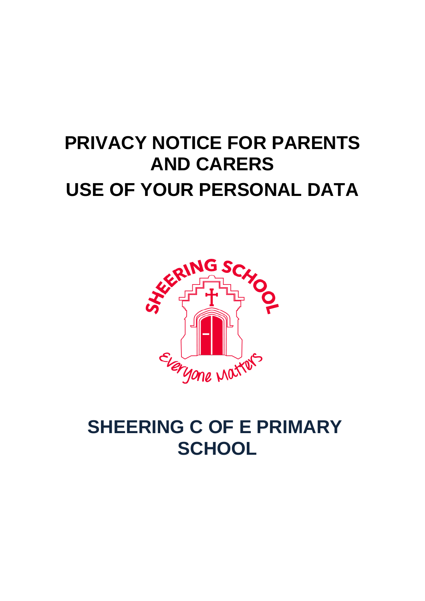# **PRIVACY NOTICE FOR PARENTS AND CARERS USE OF YOUR PERSONAL DATA**



# **SHEERING C OF E PRIMARY SCHOOL**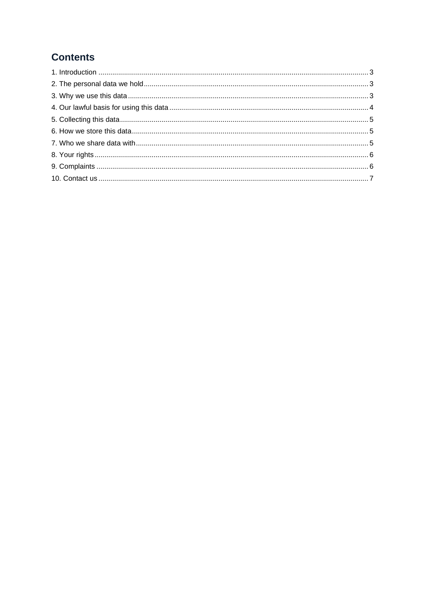# **Contents**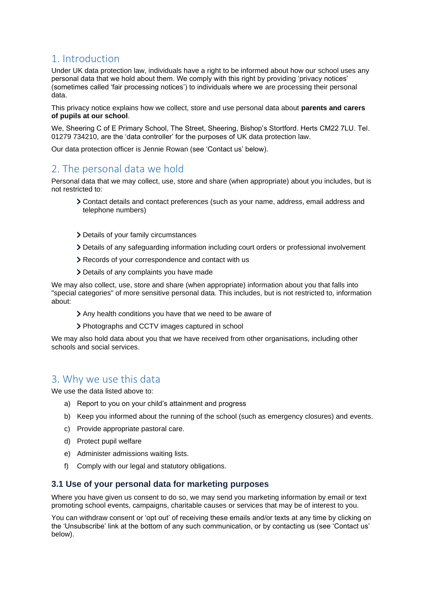# <span id="page-2-0"></span>1. Introduction

Under UK data protection law, individuals have a right to be informed about how our school uses any personal data that we hold about them. We comply with this right by providing 'privacy notices' (sometimes called 'fair processing notices') to individuals where we are processing their personal data.

This privacy notice explains how we collect, store and use personal data about **parents and carers of pupils at our school**.

We, Sheering C of E Primary School, The Street, Sheering, Bishop's Stortford. Herts CM22 7LU. Tel. 01279 734210, are the 'data controller' for the purposes of UK data protection law.

Our data protection officer is Jennie Rowan (see 'Contact us' below).

# <span id="page-2-1"></span>2. The personal data we hold

Personal data that we may collect, use, store and share (when appropriate) about you includes, but is not restricted to:

- Contact details and contact preferences (such as your name, address, email address and telephone numbers)
- > Details of your family circumstances
- Details of any safeguarding information including court orders or professional involvement
- Records of your correspondence and contact with us
- Details of any complaints you have made

We may also collect, use, store and share (when appropriate) information about you that falls into "special categories" of more sensitive personal data. This includes, but is not restricted to, information about:

- Any health conditions you have that we need to be aware of
- Photographs and CCTV images captured in school

We may also hold data about you that we have received from other organisations, including other schools and social services.

# <span id="page-2-2"></span>3. Why we use this data

We use the data listed above to:

- a) Report to you on your child's attainment and progress
- b) Keep you informed about the running of the school (such as emergency closures) and events.
- c) Provide appropriate pastoral care.
- d) Protect pupil welfare
- e) Administer admissions waiting lists.
- f) Comply with our legal and statutory obligations.

### **3.1 Use of your personal data for marketing purposes**

Where you have given us consent to do so, we may send you marketing information by email or text promoting school events, campaigns, charitable causes or services that may be of interest to you.

You can withdraw consent or 'opt out' of receiving these emails and/or texts at any time by clicking on the 'Unsubscribe' link at the bottom of any such communication, or by contacting us (see 'Contact us' below).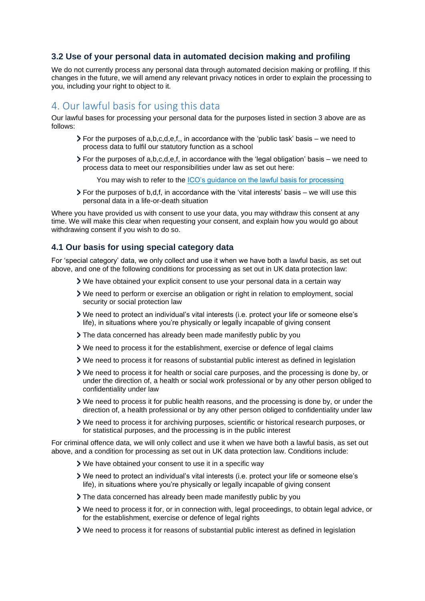## **3.2 Use of your personal data in automated decision making and profiling**

We do not currently process any personal data through automated decision making or profiling. If this changes in the future, we will amend any relevant privacy notices in order to explain the processing to you, including your right to object to it.

# <span id="page-3-0"></span>4. Our lawful basis for using this data

Our lawful bases for processing your personal data for the purposes listed in section 3 above are as follows:

- $\triangleright$  For the purposes of a,b,c,d,e,f,, in accordance with the 'public task' basis we need to process data to fulfil our statutory function as a school
- $\triangleright$  For the purposes of a,b,c,d,e,f, in accordance with the 'legal obligation' basis we need to process data to meet our responsibilities under law as set out here:

You may wish to refer to the [ICO's guidance on the lawful basis for processing](https://ico.org.uk/for-organisations/guide-to-data-protection/guide-to-the-general-data-protection-regulation-gdpr/lawful-basis-for-processing/)

 $\triangleright$  For the purposes of b,d,f, in accordance with the 'vital interests' basis – we will use this personal data in a life-or-death situation

Where you have provided us with consent to use your data, you may withdraw this consent at any time. We will make this clear when requesting your consent, and explain how you would go about withdrawing consent if you wish to do so.

#### **4.1 Our basis for using special category data**

For 'special category' data, we only collect and use it when we have both a lawful basis, as set out above, and one of the following conditions for processing as set out in UK data protection law:

- We have obtained your explicit consent to use your personal data in a certain way
- We need to perform or exercise an obligation or right in relation to employment, social security or social protection law
- We need to protect an individual's vital interests (i.e. protect your life or someone else's life), in situations where you're physically or legally incapable of giving consent
- The data concerned has already been made manifestly public by you
- We need to process it for the establishment, exercise or defence of legal claims
- We need to process it for reasons of substantial public interest as defined in legislation
- We need to process it for health or social care purposes, and the processing is done by, or under the direction of, a health or social work professional or by any other person obliged to confidentiality under law
- We need to process it for public health reasons, and the processing is done by, or under the direction of, a health professional or by any other person obliged to confidentiality under law
- We need to process it for archiving purposes, scientific or historical research purposes, or for statistical purposes, and the processing is in the public interest

For criminal offence data, we will only collect and use it when we have both a lawful basis, as set out above, and a condition for processing as set out in UK data protection law. Conditions include:

- We have obtained your consent to use it in a specific way
- We need to protect an individual's vital interests (i.e. protect your life or someone else's life), in situations where you're physically or legally incapable of giving consent
- The data concerned has already been made manifestly public by you
- We need to process it for, or in connection with, legal proceedings, to obtain legal advice, or for the establishment, exercise or defence of legal rights
- We need to process it for reasons of substantial public interest as defined in legislation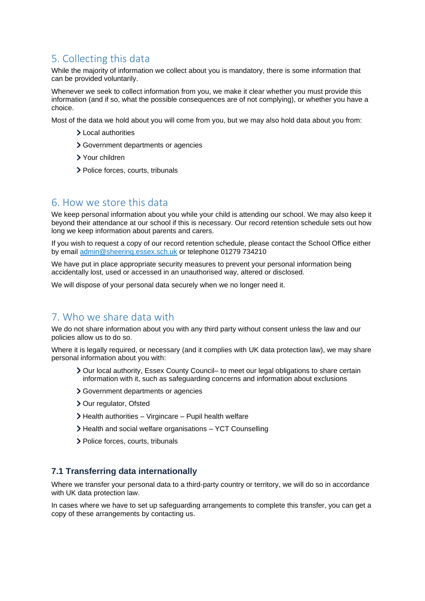# <span id="page-4-0"></span>5. Collecting this data

While the majority of information we collect about you is mandatory, there is some information that can be provided voluntarily.

Whenever we seek to collect information from you, we make it clear whether you must provide this information (and if so, what the possible consequences are of not complying), or whether you have a choice.

Most of the data we hold about you will come from you, but we may also hold data about you from:

- **Local authorities**
- Government departments or agencies
- Your children
- > Police forces, courts, tribunals

## <span id="page-4-1"></span>6. How we store this data

We keep personal information about you while your child is attending our school. We may also keep it beyond their attendance at our school if this is necessary. Our record retention schedule sets out how long we keep information about parents and carers.

If you wish to request a copy of our record retention schedule, please contact the School Office either by email [admin@sheering.essex.sch.uk](mailto:admin@sheering.essex.sch.uk) or telephone 01279 734210

We have put in place appropriate security measures to prevent your personal information being accidentally lost, used or accessed in an unauthorised way, altered or disclosed.

We will dispose of your personal data securely when we no longer need it.

# <span id="page-4-2"></span>7. Who we share data with

We do not share information about you with any third party without consent unless the law and our policies allow us to do so.

Where it is legally required, or necessary (and it complies with UK data protection law), we may share personal information about you with:

- Our local authority, Essex County Council– to meet our legal obligations to share certain information with it, such as safeguarding concerns and information about exclusions
- Government departments or agencies
- > Our regulator, Ofsted
- Health authorities Virgincare Pupil health welfare
- Health and social welfare organisations YCT Counselling
- > Police forces, courts, tribunals

### **7.1 Transferring data internationally**

Where we transfer your personal data to a third-party country or territory, we will do so in accordance with UK data protection law.

In cases where we have to set up safeguarding arrangements to complete this transfer, you can get a copy of these arrangements by contacting us.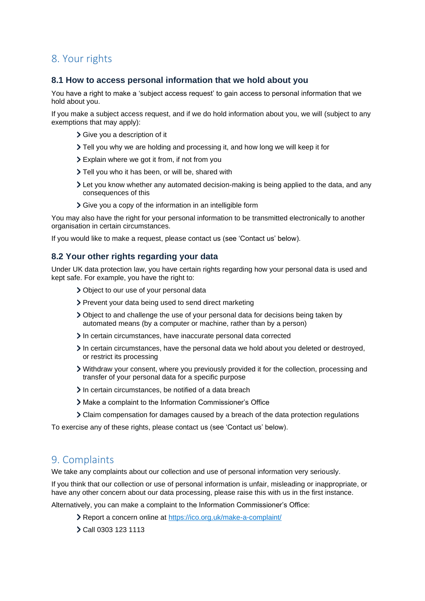# <span id="page-5-0"></span>8. Your rights

### **8.1 How to access personal information that we hold about you**

You have a right to make a 'subject access request' to gain access to personal information that we hold about you.

If you make a subject access request, and if we do hold information about you, we will (subject to any exemptions that may apply):

- > Give you a description of it
- Tell you why we are holding and processing it, and how long we will keep it for
- Explain where we got it from, if not from you
- > Tell you who it has been, or will be, shared with
- Let you know whether any automated decision-making is being applied to the data, and any consequences of this
- Give you a copy of the information in an intelligible form

You may also have the right for your personal information to be transmitted electronically to another organisation in certain circumstances.

If you would like to make a request, please contact us (see 'Contact us' below).

## **8.2 Your other rights regarding your data**

Under UK data protection law, you have certain rights regarding how your personal data is used and kept safe. For example, you have the right to:

- Object to our use of your personal data
- Prevent your data being used to send direct marketing
- Object to and challenge the use of your personal data for decisions being taken by automated means (by a computer or machine, rather than by a person)
- In certain circumstances, have inaccurate personal data corrected
- $\geq$  In certain circumstances, have the personal data we hold about you deleted or destroyed, or restrict its processing
- Withdraw your consent, where you previously provided it for the collection, processing and transfer of your personal data for a specific purpose
- In certain circumstances, be notified of a data breach
- Make a complaint to the Information Commissioner's Office
- Claim compensation for damages caused by a breach of the data protection regulations

To exercise any of these rights, please contact us (see 'Contact us' below).

# <span id="page-5-1"></span>9. Complaints

We take any complaints about our collection and use of personal information very seriously.

If you think that our collection or use of personal information is unfair, misleading or inappropriate, or have any other concern about our data processing, please raise this with us in the first instance.

Alternatively, you can make a complaint to the Information Commissioner's Office:

- Report a concern online at<https://ico.org.uk/make-a-complaint/>
- Call 0303 123 1113